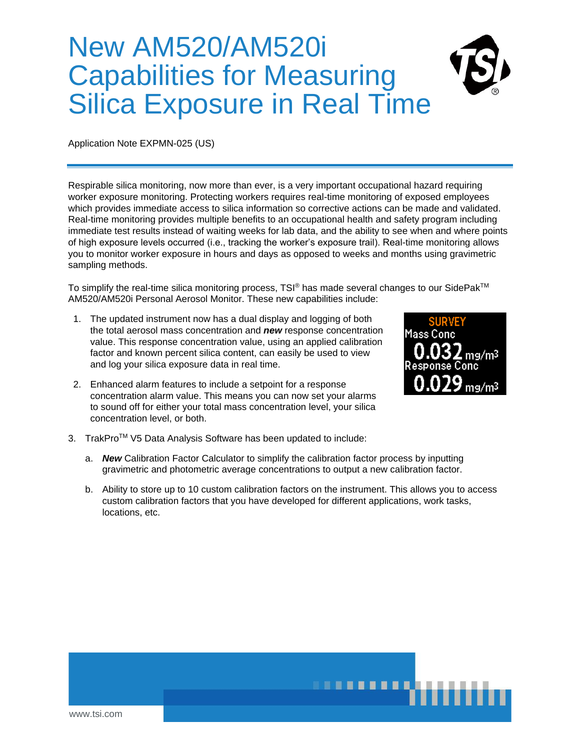## New AM520/AM520i Capabilities for Measuring Silica Exposure in Real Time



Application Note EXPMN-025 (US)

Respirable silica monitoring, now more than ever, is a very important occupational hazard requiring worker exposure monitoring. Protecting workers requires real-time monitoring of exposed employees which provides immediate access to silica information so corrective actions can be made and validated. Real-time monitoring provides multiple benefits to an occupational health and safety program including immediate test results instead of waiting weeks for lab data, and the ability to see when and where points of high exposure levels occurred (i.e., tracking the worker's exposure trail). Real-time monitoring allows you to monitor worker exposure in hours and days as opposed to weeks and months using gravimetric sampling methods.

To simplify the real-time silica monitoring process, TSI® has made several changes to our SidePak<sup>TM</sup> AM520/AM520i Personal Aerosol Monitor. These new capabilities include:

- 1. The updated instrument now has a dual display and logging of both the total aerosol mass concentration and *new* response concentration value. This response concentration value, using an applied calibration factor and known percent silica content, can easily be used to view and log your silica exposure data in real time.
- 2. Enhanced alarm features to include a setpoint for a response concentration alarm value. This means you can now set your alarms to sound off for either your total mass concentration level, your silica concentration level, or both.



- 3. TrakPro<sup>™</sup> V5 Data Analysis Software has been updated to include:
	- a. *New* Calibration Factor Calculator to simplify the calibration factor process by inputting gravimetric and photometric average concentrations to output a new calibration factor.
	- b. Ability to store up to 10 custom calibration factors on the instrument. This allows you to access custom calibration factors that you have developed for different applications, work tasks, locations, etc.

**.............**